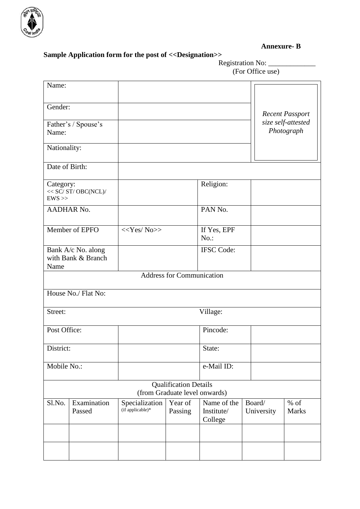

**Annexure- B**

## **Sample Application form for the post of <<Designation>>**

Registration No: \_\_\_\_\_\_\_\_\_\_\_\_\_ (For Office use)

| Name:                                                |                       |                                    |                                                               |                                      |                      |                                  |  |  |  |
|------------------------------------------------------|-----------------------|------------------------------------|---------------------------------------------------------------|--------------------------------------|----------------------|----------------------------------|--|--|--|
| Gender:                                              |                       |                                    |                                                               |                                      |                      | <b>Recent Passport</b>           |  |  |  |
| Father's / Spouse's<br>Name:                         |                       |                                    |                                                               |                                      |                      | size self-attested<br>Photograph |  |  |  |
| Nationality:                                         |                       |                                    |                                                               |                                      |                      |                                  |  |  |  |
|                                                      |                       |                                    |                                                               |                                      |                      |                                  |  |  |  |
| Date of Birth:                                       |                       |                                    |                                                               |                                      |                      |                                  |  |  |  |
| Category:<br>$<<$ SC/ ST/ OBC(NCL)/ $\,$<br>$EWS$ >> |                       |                                    |                                                               | Religion:                            |                      |                                  |  |  |  |
| <b>AADHAR No.</b>                                    |                       |                                    |                                                               | PAN No.                              |                      |                                  |  |  |  |
| Member of EPFO                                       |                       | $<<$ Yes/No>>                      |                                                               | If Yes, EPF<br>$No.$ :               |                      |                                  |  |  |  |
| Bank A/c No. along<br>with Bank & Branch<br>Name     |                       |                                    |                                                               | <b>IFSC</b> Code:                    |                      |                                  |  |  |  |
| <b>Address for Communication</b>                     |                       |                                    |                                                               |                                      |                      |                                  |  |  |  |
|                                                      | House No./ Flat No:   |                                    |                                                               |                                      |                      |                                  |  |  |  |
| Street:<br>Village:                                  |                       |                                    |                                                               |                                      |                      |                                  |  |  |  |
| Post Office:                                         |                       |                                    |                                                               | Pincode:                             |                      |                                  |  |  |  |
| District:                                            |                       |                                    |                                                               | State:                               |                      |                                  |  |  |  |
| Mobile No.:                                          |                       |                                    |                                                               | e-Mail ID:                           |                      |                                  |  |  |  |
|                                                      |                       |                                    | <b>Qualification Details</b><br>(from Graduate level onwards) |                                      |                      |                                  |  |  |  |
| Sl.No.                                               | Examination<br>Passed | Specialization<br>(if applicable)* | Year of<br>Passing                                            | Name of the<br>Institute/<br>College | Board/<br>University | $%$ of<br><b>Marks</b>           |  |  |  |
|                                                      |                       |                                    |                                                               |                                      |                      |                                  |  |  |  |
|                                                      |                       |                                    |                                                               |                                      |                      |                                  |  |  |  |